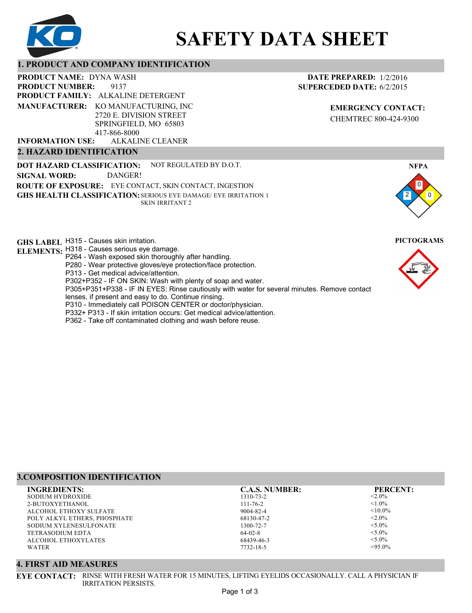

# **SAFETY DATA SHEET**

## **1. PRODUCT AND COMPANY IDENTIFICATION**

9137 PRODUCT NAME: DYNA WASH **PRODUCT FAMILY: ALKALINE DETERGENT** ALKALINE CLEANER **PRODUCT NUMBER: MANUFACTURER:** KO MANUFACTURING, INC 2720 E. DIVISION STREET SPRINGFIELD, MO 65803 417-866-8000 **INFORMATION USE:**

## **2. HAZARD IDENTIFICATION**

**DOT HAZARD CLASSIFICATION: GHS HEALTH CLASSIFICATION:** SERIOUS EYE DAMAGE/ EYE IRRITATION 1 **ROUTE OF EXPOSURE:** EYE CONTACT, SKIN CONTACT, INGESTION NOT REGULATED BY D.O.T. SKIN IRRITANT 2 **SIGNAL WORD:** DANGER!

**GHS LABEL**  H315 - Causes skin irritation. **PICTOGRAMS**

- **ELEMENTS:** H318 Causes serious eye damage.
	- P264 Wash exposed skin thoroughly after handling.
	- P280 Wear protective gloves/eye protection/face protection.
	- P313 Get medical advice/attention.
	- P302+P352 IF ON SKIN: Wash with plenty of soap and water.

P305+P351+P338 - IF IN EYES: Rinse cautiously with water for several minutes. Remove contact

- lenses, if present and easy to do. Continue rinsing.
- P310 Immediately call POISON CENTER or doctor/physician. P332+ P313 - If skin irritation occurs: Get medical advice/attention.
- 
- P362 Take off contaminated clothing and wash before reuse.

# **3.COMPOSITION IDENTIFICATION INGREDIENTS: C.A.S. NUMBER: PERCENT:**

SODIUM HYDROXIDE 2-BUTOXYETHANOL ALCOHOL ETHOXY SULFATE POLY ALKYL ETHERS, PHOSPHATE SODIUM XYLENESULFONATE TETRASODIUM EDTA ALCOHOL ETHOXYLATES WATER

#### 1310-73-2 111-76-2 9004-82-4 68130-47-2 1300-72-7 64-02-8 68439-46-3 7732-18-5

 $< 2.0\%$  $< 1.0\%$  $< 10.0\%$  $< 2.0\%$  $< 5.0\%$  $<$ 5.0%  $< 5.0\%$  $< 95.0%$ 

#### **4. FIRST AID MEASURES**

**EYE CONTACT:** RINSE WITH FRESH WATER FOR 15 MINUTES, LIFTING EYELIDS OCCASIONALLY. CALL A PHYSICIAN IF IRRITATION PERSISTS.

# **DATE PREPARED:** 1/2/2016 **SUPERCEDED DATE:** 6/2/2015

**EMERGENCY CONTACT:** CHEMTREC 800-424-9300







**NFPA**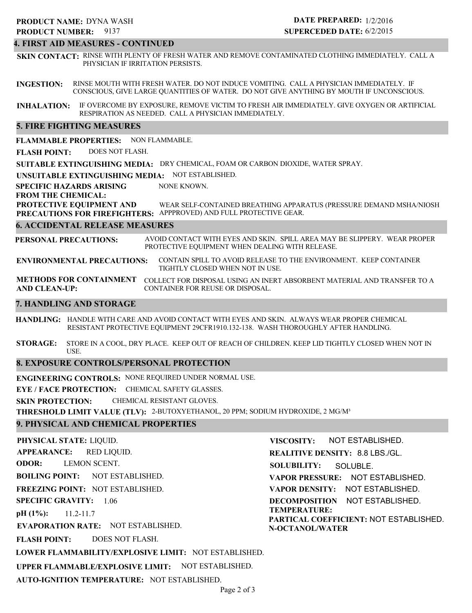#### **4. FIRST AID MEASURES - CONTINUED**

**SKIN CONTACT:** RINSE WITH PLENTY OF FRESH WATER AND REMOVE CONTAMINATED CLOTHING IMMEDIATELY. CALL A PHYSICIAN IF IRRITATION PERSISTS.

**INGESTION:** RINSE MOUTH WITH FRESH WATER. DO NOT INDUCE VOMITING. CALL A PHYSICIAN IMMEDIATELY. IF CONSCIOUS, GIVE LARGE QUANTITIES OF WATER. DO NOT GIVE ANYTHING BY MOUTH IF UNCONSCIOUS.

**INHALATION:** IF OVERCOME BY EXPOSURE, REMOVE VICTIM TO FRESH AIR IMMEDIATELY. GIVE OXYGEN OR ARTIFICIAL RESPIRATION AS NEEDED. CALL A PHYSICIAN IMMEDIATELY.

#### **5. FIRE FIGHTING MEASURES**

**FLAMMABLE PROPERTIES:** NON FLAMMABLE.

**FLASH POINT:** DOES NOT FLASH.

**SUITABLE EXTINGUISHING MEDIA:** DRY CHEMICAL, FOAM OR CARBON DIOXIDE, WATER SPRAY.

**UNSUITABLE EXTINGUISHING MEDIA:** NOT ESTABLISHED.

**SPECIFIC HAZARDS ARISING** NONE KNOWN.

**FROM THE CHEMICAL:**

**PROTECTIVE EQUIPMENT AND PRECAUTIONS FOR FIREFIGHTERS:** APPPROVED) AND FULL PROTECTIVE GEAR. WEAR SELF-CONTAINED BREATHING APPARATUS (PRESSURE DEMAND MSHA/NIOSH

#### **6. ACCIDENTAL RELEASE MEASURES**

**PERSONAL PRECAUTIONS:** AVOID CONTACT WITH EYES AND SKIN. SPILL AREA MAY BE SLIPPERY. WEAR PROPER PROTECTIVE EQUIPMENT WHEN DEALING WITH RELEASE.

**ENVIRONMENTAL PRECAUTIONS:** CONTAIN SPILL TO AVOID RELEASE TO THE ENVIRONMENT. KEEP CONTAINER TIGHTLY CLOSED WHEN NOT IN USE.

**METHODS FOR CONTAINMENT** COLLECT FOR DISPOSAL USING AN INERT ABSORBENT MATERIAL AND TRANSFER TO A **AND CLEAN-UP:** CONTAINER FOR REUSE OR DISPOSAL.

#### **7. HANDLING AND STORAGE**

**HANDLING:** HANDLE WITH CARE AND AVOID CONTACT WITH EYES AND SKIN. ALWAYS WEAR PROPER CHEMICAL RESISTANT PROTECTIVE EQUIPMENT 29CFR1910.132-138. WASH THOROUGHLY AFTER HANDLING.

**STORAGE:** STORE IN A COOL, DRY PLACE. KEEP OUT OF REACH OF CHILDREN. KEEP LID TIGHTLY CLOSED WHEN NOT IN USE.

#### **8. EXPOSURE CONTROLS/PERSONAL PROTECTION**

**ENGINEERING CONTROLS:** NONE REQUIRED UNDER NORMAL USE.

**EYE / FACE PROTECTION:** CHEMICAL SAFETY GLASSES.

**SKIN PROTECTION:** CHEMICAL RESISTANT GLOVES.

**THRESHOLD LIMIT VALUE (TLV):** 2-BUTOXYETHANOL, 20 PPM; SODIUM HYDROXIDE, 2 MG/M³

#### **9. PHYSICAL AND CHEMICAL PROPERTIES**

**PHYSICAL STATE:** LIQUID. **APPEARANCE: ODOR: BOILING POINT:** NOT ESTABLISHED. **FREEZING POINT:** NOT ESTABLISHED. **SPECIFIC GRAVITY:** 1.06 **pH (1%): EVAPORATION RATE:** NOT ESTABLISHED. **FLASH POINT: LOWER FLAMMABILITY/EXPLOSIVE LIMIT:** NOT ESTABLISHED. **UPPER FLAMMABLE/EXPLOSIVE LIMIT:** NOT ESTABLISHED. 11.2-11.7 DOES NOT FLASH. RED LIQUID. LEMON SCENT. **VISCOSITY: REALITIVE DENSITY:** 8.8 LBS./GL. **SOLUBILITY: VAPOR PRESSURE:** NOT ESTABLISHED. **VAPOR DENSITY:** NOT ESTABLISHED. **DECOMPOSITION** NOT ESTABLISHED. **TEMPERATURE: PARTICAL COEFFICIENT:** NOT ESTABLISHED. **N-OCTANOL/WATER** NOT ESTABLISHED. SOLUBLE.

**AUTO-IGNITION TEMPERATURE:** NOT ESTABLISHED.